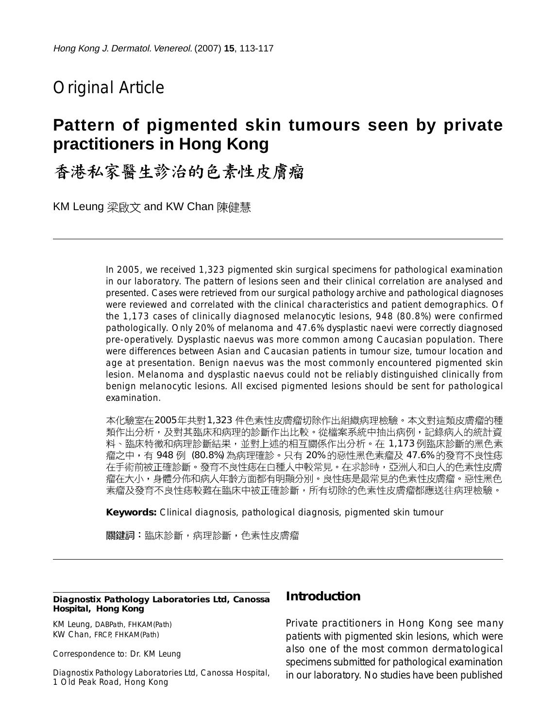# Original Article

# **Pattern of pigmented skin tumours seen by private practitioners in Hong Kong**

# 香港私家醫生診治的色素性皮膚瘤

KM Leung 梁啟文 and KW Chan 陳健慧

In 2005, we received 1,323 pigmented skin surgical specimens for pathological examination in our laboratory. The pattern of lesions seen and their clinical correlation are analysed and presented. Cases were retrieved from our surgical pathology archive and pathological diagnoses were reviewed and correlated with the clinical characteristics and patient demographics. Of the 1,173 cases of clinically diagnosed melanocytic lesions, 948 (80.8%) were confirmed pathologically. Only 20% of melanoma and 47.6% dysplastic naevi were correctly diagnosed pre-operatively. Dysplastic naevus was more common among Caucasian population. There were differences between Asian and Caucasian patients in tumour size, tumour location and age at presentation. Benign naevus was the most commonly encountered pigmented skin lesion. Melanoma and dysplastic naevus could not be reliably distinguished clinically from benign melanocytic lesions. All excised pigmented lesions should be sent for pathological examination.

本化驗室在2005年共對1,323 件色素性皮膚瘤切除作出組織病理檢驗。本文對這類皮膚瘤的種 類作出分析,及對其臨床和病理的診斷作出比較。從檔案系統中抽出病例,記錄病人的統計資 料、臨床特徵和病理診斷結果,並對上述的相互關係作出分析。在 1,173 例臨床診斷的黑色素 瘤之中,有 948 例 (80.8%) 為病理確診。只有 20% 的惡性黑色素瘤及 47.6% 的發育不良性痣 在手術前被正確診斷。發育不良性痣在白種人中較常見。在求診時,亞洲人和白人的色素性皮膚 瘤在大小,身體分佈和病人年齡方面都有明顯分別。良性痣是最常見的色素性皮膚瘤。惡性黑色 素瘤及發育不良性痣較難在臨床中被正確診斷,所有切除的色素性皮膚瘤都應送往病理檢驗。

**Keywords:** Clinical diagnosis, pathological diagnosis, pigmented skin tumour

關鍵詞:臨床診斷,病理診斷,色素性皮膚瘤

#### **Diagnostix Pathology Laboratories Ltd, Canossa Hospital, Hong Kong**

KM Leung, DABPath, FHKAM(Path) KW Chan, FRCP, FHKAM(Path)

Correspondence to: Dr. KM Leung

Diagnostix Pathology Laboratories Ltd, Canossa Hospital, 1 Old Peak Road, Hong Kong

#### **Introduction**

Private practitioners in Hong Kong see many patients with pigmented skin lesions, which were also one of the most common dermatological specimens submitted for pathological examination in our laboratory. No studies have been published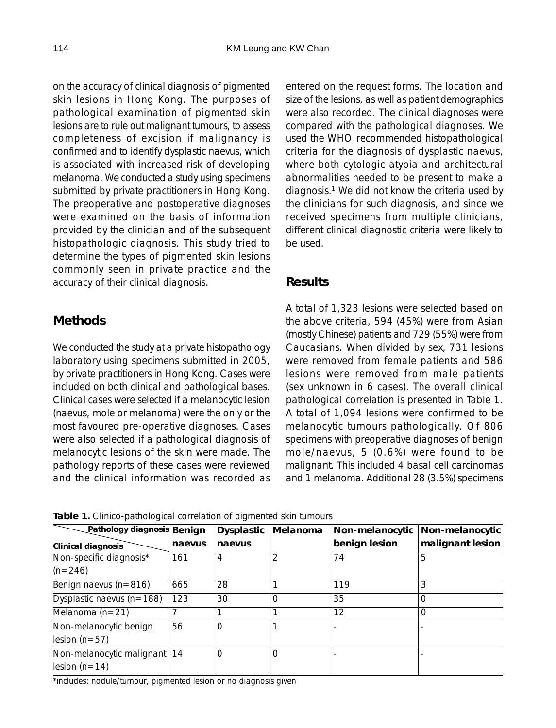on the accuracy of clinical diagnosis of pigmented skin lesions in Hong Kong. The purposes of pathological examination of pigmented skin lesions are to rule out malignant tumours, to assess completeness of excision if malignancy is confirmed and to identify dysplastic naevus, which is associated with increased risk of developing melanoma. We conducted a study using specimens submitted by private practitioners in Hong Kong. The preoperative and postoperative diagnoses were examined on the basis of information provided by the clinician and of the subsequent histopathologic diagnosis. This study tried to determine the types of pigmented skin lesions commonly seen in private practice and the accuracy of their clinical diagnosis.

## **Methods**

We conducted the study at a private histopathology laboratory using specimens submitted in 2005, by private practitioners in Hong Kong. Cases were included on both clinical and pathological bases. Clinical cases were selected if a melanocytic lesion (naevus, mole or melanoma) were the only or the most favoured pre-operative diagnoses. Cases were also selected if a pathological diagnosis of melanocytic lesions of the skin were made. The pathology reports of these cases were reviewed and the clinical information was recorded as

entered on the request forms. The location and size of the lesions, as well as patient demographics were also recorded. The clinical diagnoses were compared with the pathological diagnoses. We used the WHO recommended histopathological criteria for the diagnosis of dysplastic naevus, where both cytologic atypia and architectural abnormalities needed to be present to make a diagnosis.1 We did not know the criteria used by the clinicians for such diagnosis, and since we received specimens from multiple clinicians, different clinical diagnostic criteria were likely to be used.

## **Results**

A total of 1,323 lesions were selected based on the above criteria, 594 (45%) were from Asian (mostly Chinese) patients and 729 (55%) were from Caucasians. When divided by sex, 731 lesions were removed from female patients and 586 lesions were removed from male patients (sex unknown in 6 cases). The overall clinical pathological correlation is presented in Table 1. A total of 1,094 lesions were confirmed to be melanocytic tumours pathologically. Of 806 specimens with preoperative diagnoses of benign mole/naevus, 5 (0.6%) were found to be malignant. This included 4 basal cell carcinomas and 1 melanoma. Additional 28 (3.5%) specimens

| Pathology diagnosis Benign                        |        | <b>Dysplastic</b> | Melanoma | Non-melanocytic | Non-melanocytic  |
|---------------------------------------------------|--------|-------------------|----------|-----------------|------------------|
| Clinical diagnosis                                | naevus | naevus            |          | benign lesion   | malignant lesion |
| Non-specific diagnosis*                           | 161    | 4                 |          | 74              | 5                |
| $(n=246)$                                         |        |                   |          |                 |                  |
| Benign naevus (n=816)                             | 665    | 28                |          | 119             | 3                |
| Dysplastic naevus ( $n = 188$ )                   | 123    | 30                | 0        | 35              | 0                |
| Melanoma $(n=21)$                                 |        |                   |          | 12              | ი                |
| Non-melanocytic benign<br>$lesion (n=57)$         | 56     | $\Omega$          |          |                 |                  |
| Non-melanocytic malignant   14<br>lesion $(n=14)$ |        | 0                 | 0        |                 |                  |

**Table 1.** Clinico-pathological correlation of pigmented skin tumours

\*includes: nodule/tumour, pigmented lesion or no diagnosis given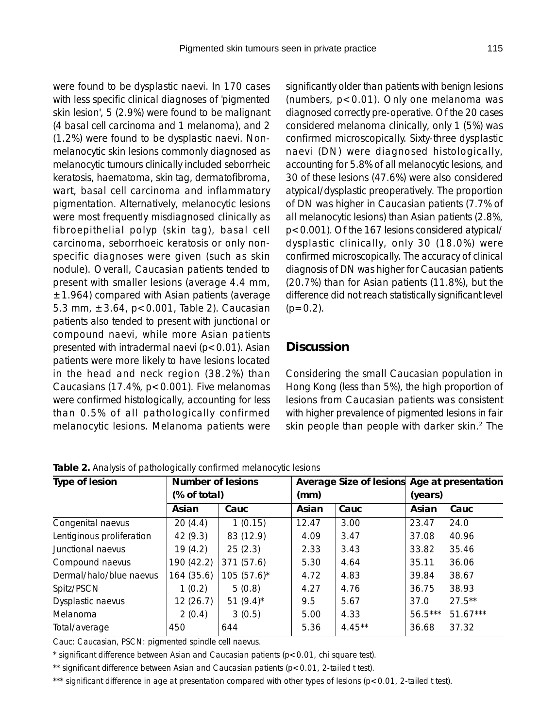were found to be dysplastic naevi. In 170 cases with less specific clinical diagnoses of 'pigmented skin lesion', 5 (2.9%) were found to be malignant (4 basal cell carcinoma and 1 melanoma), and 2 (1.2%) were found to be dysplastic naevi. Nonmelanocytic skin lesions commonly diagnosed as melanocytic tumours clinically included seborrheic keratosis, haematoma, skin tag, dermatofibroma, wart, basal cell carcinoma and inflammatory pigmentation. Alternatively, melanocytic lesions were most frequently misdiagnosed clinically as fibroepithelial polyp (skin tag), basal cell carcinoma, seborrhoeic keratosis or only nonspecific diagnoses were given (such as skin nodule). Overall, Caucasian patients tended to present with smaller lesions (average 4.4 mm,  $±1.964$ ) compared with Asian patients (average 5.3 mm, ±3.64, p<0.001, Table 2). Caucasian patients also tended to present with junctional or compound naevi, while more Asian patients presented with intradermal naevi  $(p<0.01)$ . Asian patients were more likely to have lesions located in the head and neck region (38.2%) than Caucasians (17.4%, p<0.001). Five melanomas were confirmed histologically, accounting for less than 0.5% of all pathologically confirmed melanocytic lesions. Melanoma patients were

significantly older than patients with benign lesions (numbers, p<0.01). Only one melanoma was diagnosed correctly pre-operative. Of the 20 cases considered melanoma clinically, only 1 (5%) was confirmed microscopically. Sixty-three dysplastic naevi (DN) were diagnosed histologically, accounting for 5.8% of all melanocytic lesions, and 30 of these lesions (47.6%) were also considered atypical/dysplastic preoperatively. The proportion of DN was higher in Caucasian patients (7.7% of all melanocytic lesions) than Asian patients (2.8%, p<0.001). Of the 167 lesions considered atypical/ dysplastic clinically, only 30 (18.0%) were confirmed microscopically. The accuracy of clinical diagnosis of DN was higher for Caucasian patients (20.7%) than for Asian patients (11.8%), but the difference did not reach statistically significant level  $(p=0.2)$ .

### **Discussion**

Considering the small Caucasian population in Hong Kong (less than 5%), the high proportion of lesions from Caucasian patients was consistent with higher prevalence of pigmented lesions in fair skin people than people with darker skin.<sup>2</sup> The

| Type of lesion            | <b>Number of lesions</b><br>(% of total) |                 | Average Size of lesions Age at presentation<br>(mm) |           | (years)   |            |
|---------------------------|------------------------------------------|-----------------|-----------------------------------------------------|-----------|-----------|------------|
|                           |                                          |                 |                                                     |           |           |            |
|                           | Asian                                    | Cauc            | Asian                                               | Cauc      | Asian     | Cauc       |
| Congenital naevus         | 20(4.4)                                  | 1(0.15)         | 12.47                                               | 3.00      | 23.47     | 24.0       |
| Lentiginous proliferation | 42(9.3)                                  | 83 (12.9)       | 4.09                                                | 3.47      | 37.08     | 40.96      |
| Junctional naevus         | 19(4.2)                                  | 25(2.3)         | 2.33                                                | 3.43      | 33.82     | 35.46      |
| Compound naevus           | 190 (42.2)                               | 371(57.6)       | 5.30                                                | 4.64      | 35.11     | 36.06      |
| Dermal/halo/blue naevus   | 164 (35.6)                               | $105(57.6)^{*}$ | 4.72                                                | 4.83      | 39.84     | 38.67      |
| Spitz/PSCN                | 1(0.2)                                   | 5(0.8)          | 4.27                                                | 4.76      | 36.75     | 38.93      |
| Dysplastic naevus         | 12(26.7)                                 | 51 $(9.4)^*$    | 9.5                                                 | 5.67      | 37.0      | $27.5***$  |
| Melanoma                  | 2(0.4)                                   | 3(0.5)          | 5.00                                                | 4.33      | $56.5***$ | $51.67***$ |
| Total/average             | 450                                      | 644             | 5.36                                                | $4.45***$ | 36.68     | 37.32      |

**Table 2.** Analysis of pathologically confirmed melanocytic lesions

Cauc: Caucasian, PSCN: pigmented spindle cell naevus.

\* significant difference between Asian and Caucasian patients (p<0.01, chi square test).

\*\* significant difference between Asian and Caucasian patients (p<0.01, 2-tailed t test).

\*\*\* significant difference in age at presentation compared with other types of lesions (p<0.01, 2-tailed t test).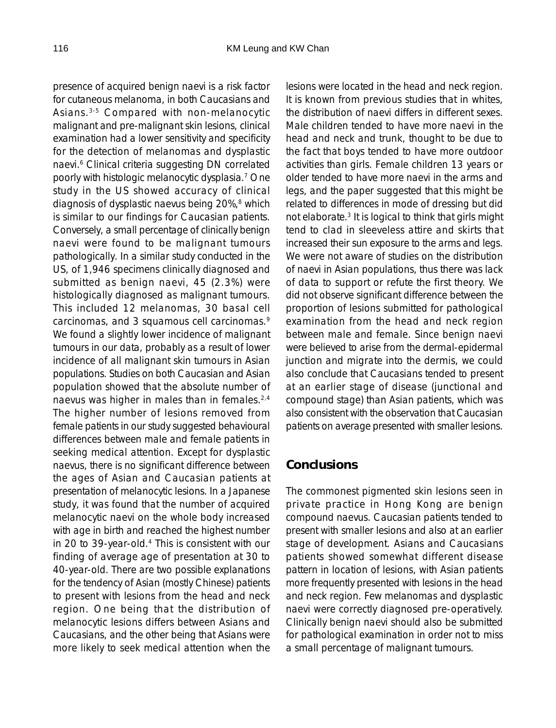presence of acquired benign naevi is a risk factor for cutaneous melanoma, in both Caucasians and Asians.3-5 Compared with non-melanocytic malignant and pre-malignant skin lesions, clinical examination had a lower sensitivity and specificity for the detection of melanomas and dysplastic naevi.6 Clinical criteria suggesting DN correlated poorly with histologic melanocytic dysplasia.7 One study in the US showed accuracy of clinical diagnosis of dysplastic naevus being  $20\%$ ,  $8$  which is similar to our findings for Caucasian patients. Conversely, a small percentage of clinically benign naevi were found to be malignant tumours pathologically. In a similar study conducted in the US, of 1,946 specimens clinically diagnosed and submitted as benign naevi, 45 (2.3%) were histologically diagnosed as malignant tumours. This included 12 melanomas, 30 basal cell carcinomas, and 3 squamous cell carcinomas.<sup>9</sup> We found a slightly lower incidence of malignant tumours in our data, probably as a result of lower incidence of all malignant skin tumours in Asian populations. Studies on both Caucasian and Asian population showed that the absolute number of naevus was higher in males than in females.<sup>2,4</sup> The higher number of lesions removed from female patients in our study suggested behavioural differences between male and female patients in seeking medical attention. Except for dysplastic naevus, there is no significant difference between the ages of Asian and Caucasian patients at presentation of melanocytic lesions. In a Japanese study, it was found that the number of acquired melanocytic naevi on the whole body increased with age in birth and reached the highest number in 20 to 39-year-old.<sup>4</sup> This is consistent with our finding of average age of presentation at 30 to 40-year-old. There are two possible explanations for the tendency of Asian (mostly Chinese) patients to present with lesions from the head and neck region. One being that the distribution of melanocytic lesions differs between Asians and Caucasians, and the other being that Asians were more likely to seek medical attention when the

lesions were located in the head and neck region. It is known from previous studies that in whites, the distribution of naevi differs in different sexes. Male children tended to have more naevi in the head and neck and trunk, thought to be due to the fact that boys tended to have more outdoor activities than girls. Female children 13 years or older tended to have more naevi in the arms and legs, and the paper suggested that this might be related to differences in mode of dressing but did not elaborate.3 It is logical to think that girls might tend to clad in sleeveless attire and skirts that increased their sun exposure to the arms and legs. We were not aware of studies on the distribution of naevi in Asian populations, thus there was lack of data to support or refute the first theory. We did not observe significant difference between the proportion of lesions submitted for pathological examination from the head and neck region between male and female. Since benign naevi were believed to arise from the dermal-epidermal junction and migrate into the dermis, we could also conclude that Caucasians tended to present at an earlier stage of disease (junctional and compound stage) than Asian patients, which was also consistent with the observation that Caucasian patients on average presented with smaller lesions.

#### **Conclusions**

The commonest pigmented skin lesions seen in private practice in Hong Kong are benign compound naevus. Caucasian patients tended to present with smaller lesions and also at an earlier stage of development. Asians and Caucasians patients showed somewhat different disease pattern in location of lesions, with Asian patients more frequently presented with lesions in the head and neck region. Few melanomas and dysplastic naevi were correctly diagnosed pre-operatively. Clinically benign naevi should also be submitted for pathological examination in order not to miss a small percentage of malignant tumours.